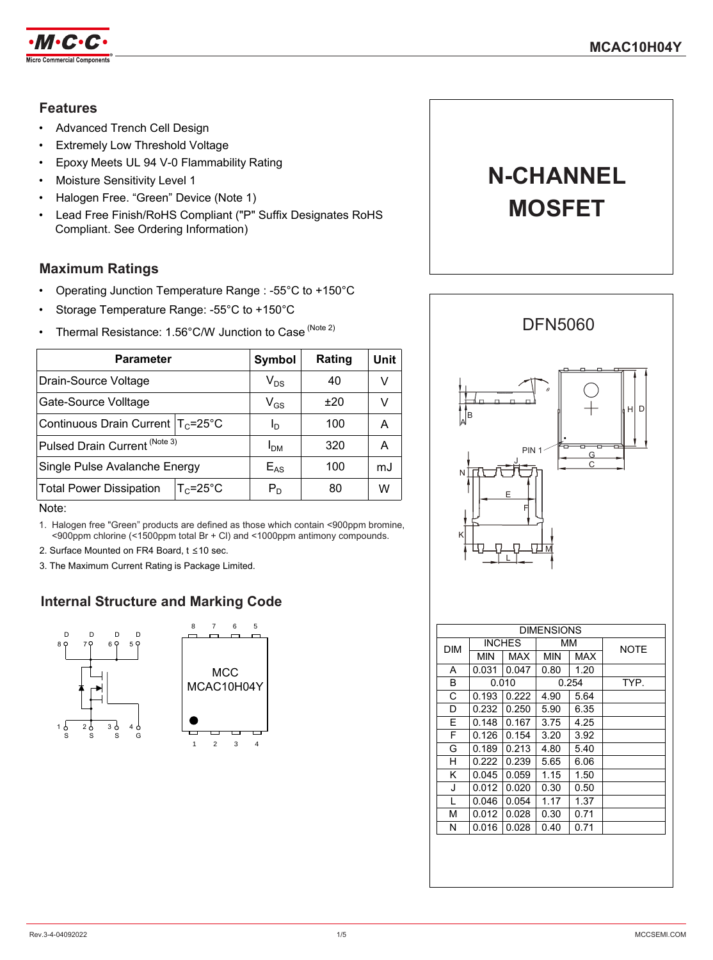

### **Features**

- Advanced Trench Cell Design
- **Extremely Low Threshold Voltage**
- Epoxy Meets UL 94 V-0 Flammability Rating
- Moisture Sensitivity Level 1
- Halogen Free. "Green" Device (Note 1)
- Lead Free Finish/RoHS Compliant ("P" Suffix Designates RoHS Compliant. See Ordering Information)

### **Maximum Ratings**

- Operating Junction Temperature Range : -55°C to +150°C
- Storage Temperature Range: -55°C to +150°C
- Thermal Resistance: 1.56°C/W Junction to Case (Note 2)

| Parameter                                              | Symbol          | Rating | Unit |
|--------------------------------------------------------|-----------------|--------|------|
| Drain-Source Voltage                                   | $V_{DS}$        | 40     | V    |
| Gate-Source Volltage                                   | $V_{GS}$        | ±20    | v    |
| Continuous Drain Current $T_c = 25^{\circ}$ C          | Ιŋ              | 100    | A    |
| Pulsed Drain Current <sup>(Note 3)</sup>               | I <sub>DM</sub> | 320    | A    |
| Single Pulse Avalanche Energy                          | $E_{AS}$        | 100    | mJ   |
| $T_c = 25^{\circ}$ C<br><b>Total Power Dissipation</b> | $P_D$           | 80     | w    |

#### Note:

1. Halogen free "Green" products are defined as those which contain <900ppm bromine, <900ppm chlorine (<1500ppm total Br + Cl) and <1000ppm antimony compounds.

- 2. Surface Mounted on FR4 Board, t ≤10 sec.
- 3. The Maximum Current Rating is Package Limited.

# **Internal Structure and Marking Code**





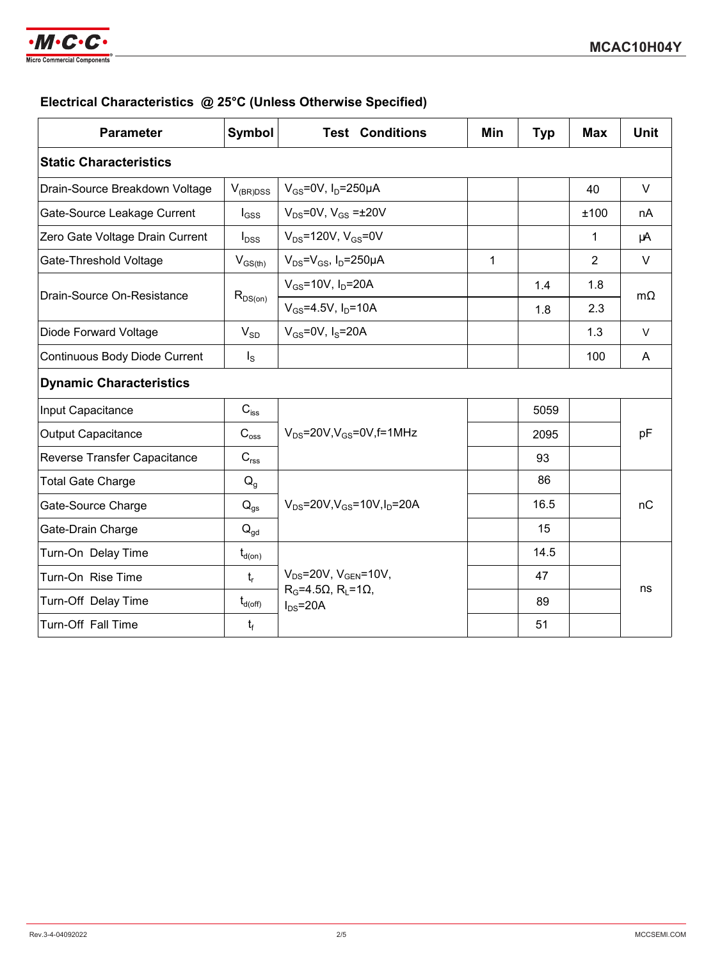

## **Electrical Characteristics @ 25°C (Unless Otherwise Specified)**

| <b>Parameter</b>                | Symbol                | <b>Test Conditions</b>                            | Min | <b>Typ</b> | <b>Max</b>     | <b>Unit</b> |  |
|---------------------------------|-----------------------|---------------------------------------------------|-----|------------|----------------|-------------|--|
| <b>Static Characteristics</b>   |                       |                                                   |     |            |                |             |  |
| Drain-Source Breakdown Voltage  | $V_{(BR)DSS}$         | $V_{GS}$ =0V, I <sub>D</sub> =250µA               |     |            | 40             | $\vee$      |  |
| Gate-Source Leakage Current     | $I_{GSS}$             | $V_{DS} = 0V$ , $V_{GS} = \pm 20V$                |     |            | ±100           | nA          |  |
| Zero Gate Voltage Drain Current | $I_{DSS}$             | $V_{DS}$ =120V, $V_{GS}$ =0V                      |     |            | 1              | μA          |  |
| Gate-Threshold Voltage          | $V_{GS(th)}$          | $V_{DS} = V_{GS}$ , $I_D = 250 \mu A$             | 1   |            | $\overline{2}$ | $\vee$      |  |
| Drain-Source On-Resistance      |                       | $V_{GS} = 10V$ , $I_D = 20A$                      |     | 1.4        | 1.8            | $m\Omega$   |  |
|                                 | $R_{DS(on)}$          | $V_{GS} = 4.5V$ , $I_D = 10A$                     |     | 1.8        | 2.3            |             |  |
| Diode Forward Voltage           | $V_{SD}$              | $V_{GS}$ =0V, $I_S$ =20A                          |     |            | 1.3            | $\vee$      |  |
| Continuous Body Diode Current   | $I_{\rm S}$           |                                                   |     |            | 100            | A           |  |
| <b>Dynamic Characteristics</b>  |                       |                                                   |     |            |                |             |  |
| Input Capacitance               | $C_{\text{iss}}$      | $V_{DS}$ =20V, $V_{GS}$ =0V, f=1MHz               |     | 5059       |                | pF          |  |
| <b>Output Capacitance</b>       | $C_{\rm oss}$         |                                                   |     | 2095       |                |             |  |
| Reverse Transfer Capacitance    | $C_{\text{rss}}$      |                                                   |     | 93         |                |             |  |
| <b>Total Gate Charge</b>        | $Q_q$                 | $V_{DS} = 20V$ , $V_{GS} = 10V$ , $I_D = 20A$     |     | 86         |                |             |  |
| Gate-Source Charge              | $Q_{gs}$              |                                                   |     | 16.5       |                | nC          |  |
| Gate-Drain Charge               | $Q_{gd}$              |                                                   |     | 15         |                |             |  |
| Turn-On Delay Time              | $t_{d(on)}$           | $V_{DS}$ =20V, $V_{GEN}$ =10V,                    |     | 14.5       |                |             |  |
| Turn-On Rise Time               | $t_{r}$               |                                                   |     | 47         |                |             |  |
| Turn-Off Delay Time             | $t_{d(\mathsf{off})}$ | $RG=4.5\Omega$ , $RI=1\Omega$ ,<br>$I_{DS} = 20A$ |     | 89         |                | ns          |  |
| Turn-Off Fall Time              | t <sub>f</sub>        |                                                   |     | 51         |                |             |  |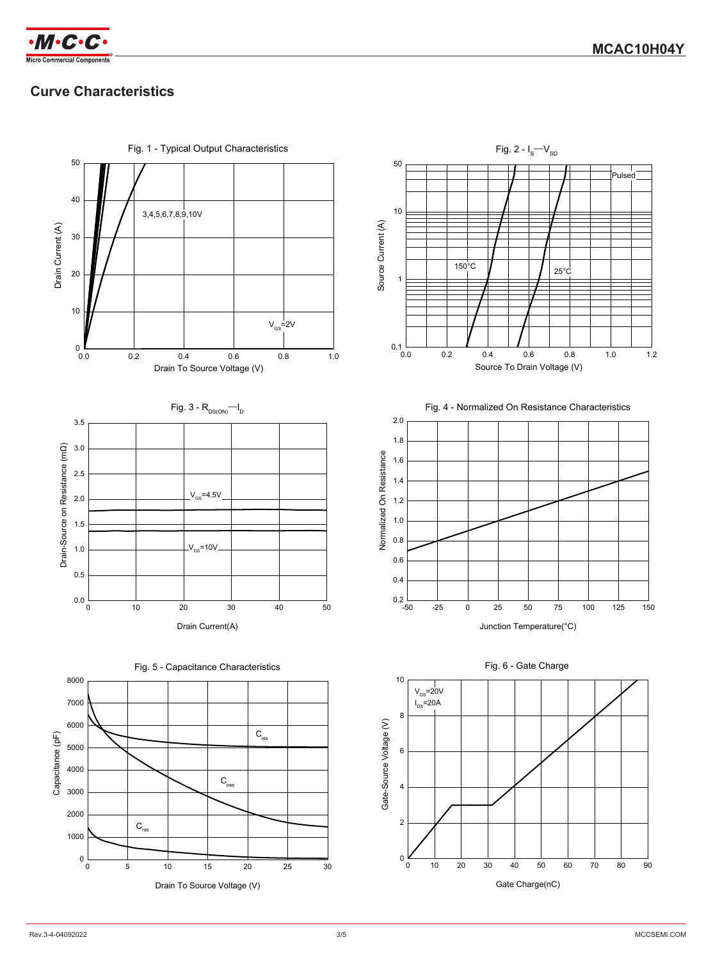



# **Curve Characteristics**

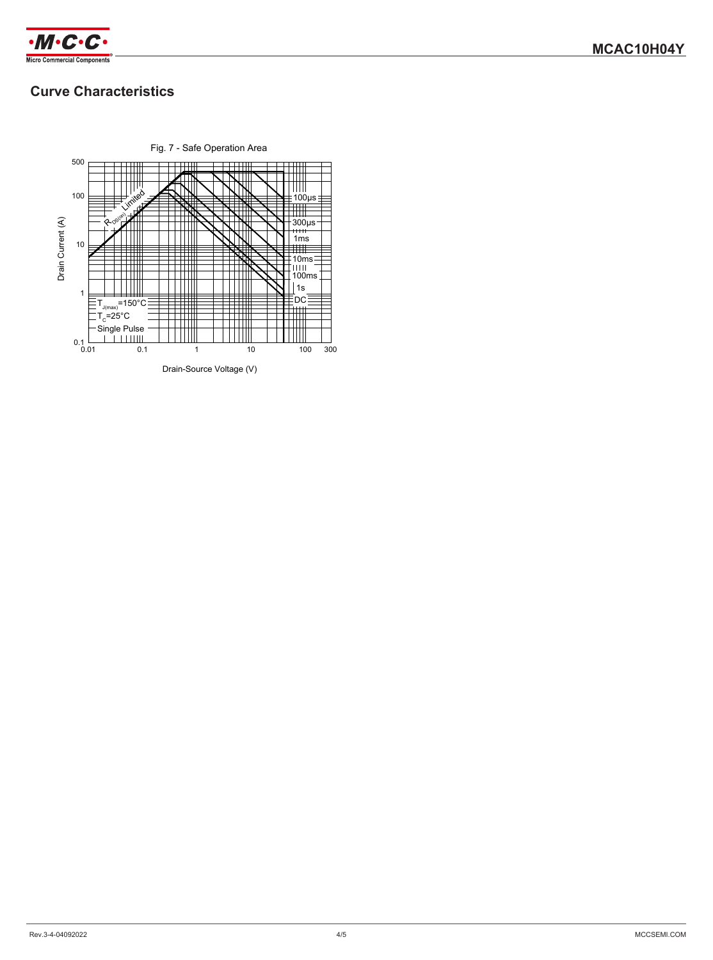

## **Curve Characteristics**